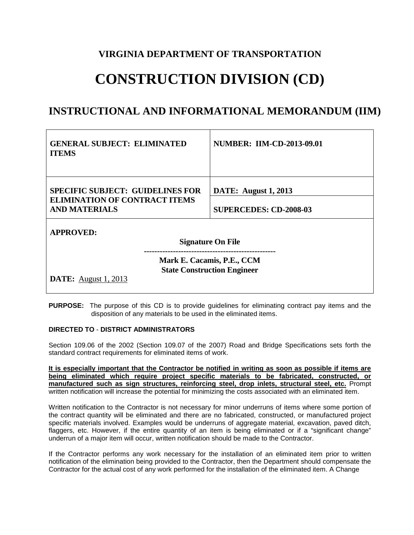## **VIRGINIA DEPARTMENT OF TRANSPORTATION**

## **CONSTRUCTION DIVISION (CD)**

## **INSTRUCTIONAL AND INFORMATIONAL MEMORANDUM (IIM)**

| <b>GENERAL SUBJECT: ELIMINATED</b><br><b>ITEMS</b>                              | <b>NUMBER: IIM-CD-2013-09.01</b> |
|---------------------------------------------------------------------------------|----------------------------------|
| <b>SPECIFIC SUBJECT: GUIDELINES FOR</b><br><b>ELIMINATION OF CONTRACT ITEMS</b> | <b>DATE:</b> August 1, 2013      |
| <b>AND MATERIALS</b>                                                            | <b>SUPERCEDES: CD-2008-03</b>    |
| <b>APPROVED:</b>                                                                |                                  |
| <b>Signature On File</b>                                                        |                                  |
| Mark E. Cacamis, P.E., CCM<br><b>State Construction Engineer</b>                |                                  |
| <b>DATE:</b> August 1, 2013                                                     |                                  |

**PURPOSE:** The purpose of this CD is to provide guidelines for eliminating contract pay items and the disposition of any materials to be used in the eliminated items.

## **DIRECTED TO** - **DISTRICT ADMINISTRATORS**

Section 109.06 of the 2002 (Section 109.07 of the 2007) Road and Bridge Specifications sets forth the standard contract requirements for eliminated items of work.

**It is especially important that the Contractor be notified in writing as soon as possible if items are being eliminated which require project specific materials to be fabricated, constructed, or manufactured such as sign structures, reinforcing steel, drop inlets, structural steel, etc.** Prompt written notification will increase the potential for minimizing the costs associated with an eliminated item.

Written notification to the Contractor is not necessary for minor underruns of items where some portion of the contract quantity will be eliminated and there are no fabricated, constructed, or manufactured project specific materials involved. Examples would be underruns of aggregate material, excavation, paved ditch, flaggers, etc. However, if the entire quantity of an item is being eliminated or if a "significant change" underrun of a major item will occur, written notification should be made to the Contractor.

If the Contractor performs any work necessary for the installation of an eliminated item prior to written notification of the elimination being provided to the Contractor, then the Department should compensate the Contractor for the actual cost of any work performed for the installation of the eliminated item. A Change